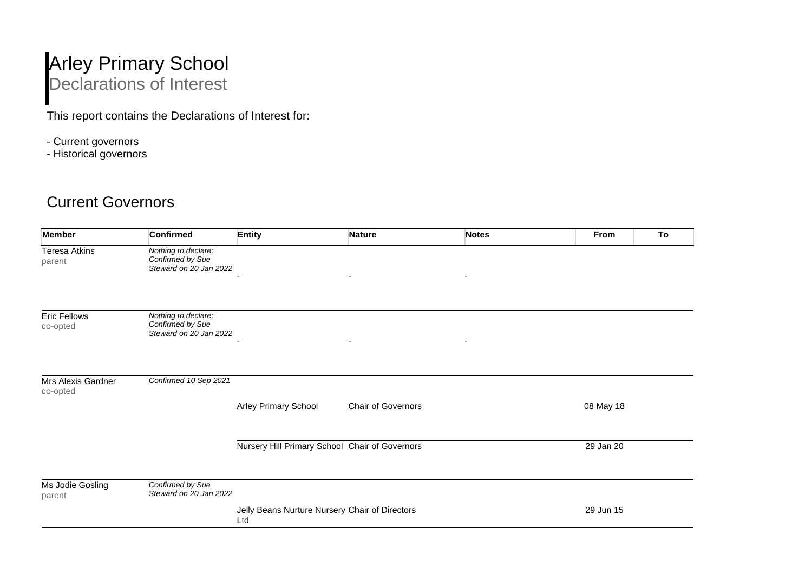## Arley Primary School Declarations of Interest

This report contains the Declarations of Interest for:

- Current governors
- Historical governors

## Current Governors

| <b>Confirmed</b>                        | <b>Entity</b>                                  | <b>Nature</b>                                                              | <b>Notes</b>                                   | From      | To |
|-----------------------------------------|------------------------------------------------|----------------------------------------------------------------------------|------------------------------------------------|-----------|----|
| Nothing to declare:<br>Confirmed by Sue |                                                |                                                                            |                                                |           |    |
|                                         |                                                |                                                                            |                                                |           |    |
| Nothing to declare:<br>Confirmed by Sue |                                                |                                                                            |                                                |           |    |
|                                         |                                                |                                                                            |                                                |           |    |
|                                         |                                                |                                                                            |                                                |           |    |
|                                         | Arley Primary School                           | Chair of Governors                                                         |                                                | 08 May 18 |    |
|                                         | Nursery Hill Primary School Chair of Governors |                                                                            |                                                | 29 Jan 20 |    |
| Confirmed by Sue                        |                                                |                                                                            |                                                |           |    |
|                                         | Ltd                                            |                                                                            |                                                | 29 Jun 15 |    |
|                                         | Confirmed 10 Sep 2021                          | Steward on 20 Jan 2022<br>Steward on 20 Jan 2022<br>Steward on 20 Jan 2022 | Jelly Beans Nurture Nursery Chair of Directors |           |    |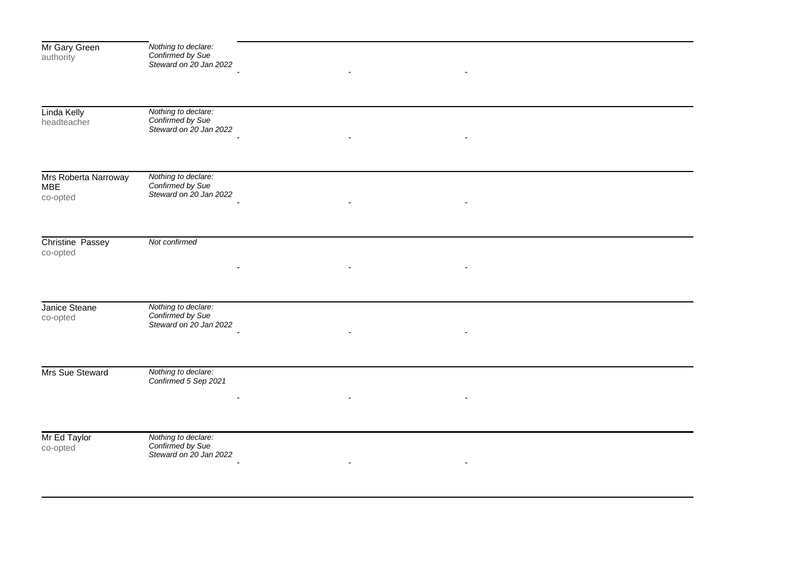| Mr Gary Green<br>authority                     | Nothing to declare:<br>Confirmed by Sue<br>Steward on 20 Jan 2022 |  |
|------------------------------------------------|-------------------------------------------------------------------|--|
| Linda Kelly<br>headteacher                     | Nothing to declare:<br>Confirmed by Sue<br>Steward on 20 Jan 2022 |  |
| Mrs Roberta Narroway<br><b>MBE</b><br>co-opted | Nothing to declare:<br>Confirmed by Sue<br>Steward on 20 Jan 2022 |  |
| <b>Christine Passey</b><br>co-opted            | Not confirmed                                                     |  |
| Janice Steane<br>co-opted                      | Nothing to declare:<br>Confirmed by Sue<br>Steward on 20 Jan 2022 |  |
| Mrs Sue Steward                                | Nothing to declare:<br>Confirmed 5 Sep 2021                       |  |
| Mr Ed Taylor<br>co-opted                       | Nothing to declare:<br>Confirmed by Sue<br>Steward on 20 Jan 2022 |  |